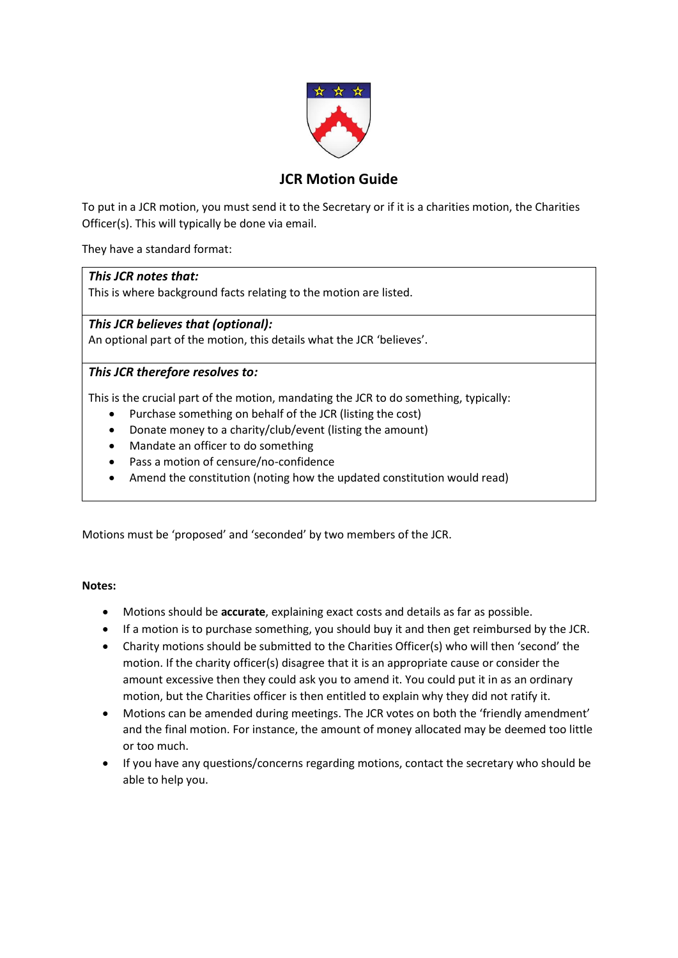

# **JCR Motion Guide**

To put in a JCR motion, you must send it to the Secretary or if it is a charities motion, the Charities Officer(s). This will typically be done via email.

They have a standard format:

# *This JCR notes that:*

This is where background facts relating to the motion are listed.

*This JCR believes that (optional):* An optional part of the motion, this details what the JCR 'believes'.

# *This JCR therefore resolves to:*

This is the crucial part of the motion, mandating the JCR to do something, typically:

- Purchase something on behalf of the JCR (listing the cost)
- Donate money to a charity/club/event (listing the amount)
- Mandate an officer to do something
- Pass a motion of censure/no-confidence
- Amend the constitution (noting how the updated constitution would read)

Motions must be 'proposed' and 'seconded' by two members of the JCR.

# **Notes:**

- Motions should be **accurate**, explaining exact costs and details as far as possible.
- If a motion is to purchase something, you should buy it and then get reimbursed by the JCR.
- Charity motions should be submitted to the Charities Officer(s) who will then 'second' the motion. If the charity officer(s) disagree that it is an appropriate cause or consider the amount excessive then they could ask you to amend it. You could put it in as an ordinary motion, but the Charities officer is then entitled to explain why they did not ratify it.
- Motions can be amended during meetings. The JCR votes on both the 'friendly amendment' and the final motion. For instance, the amount of money allocated may be deemed too little or too much.
- If you have any questions/concerns regarding motions, contact the secretary who should be able to help you.